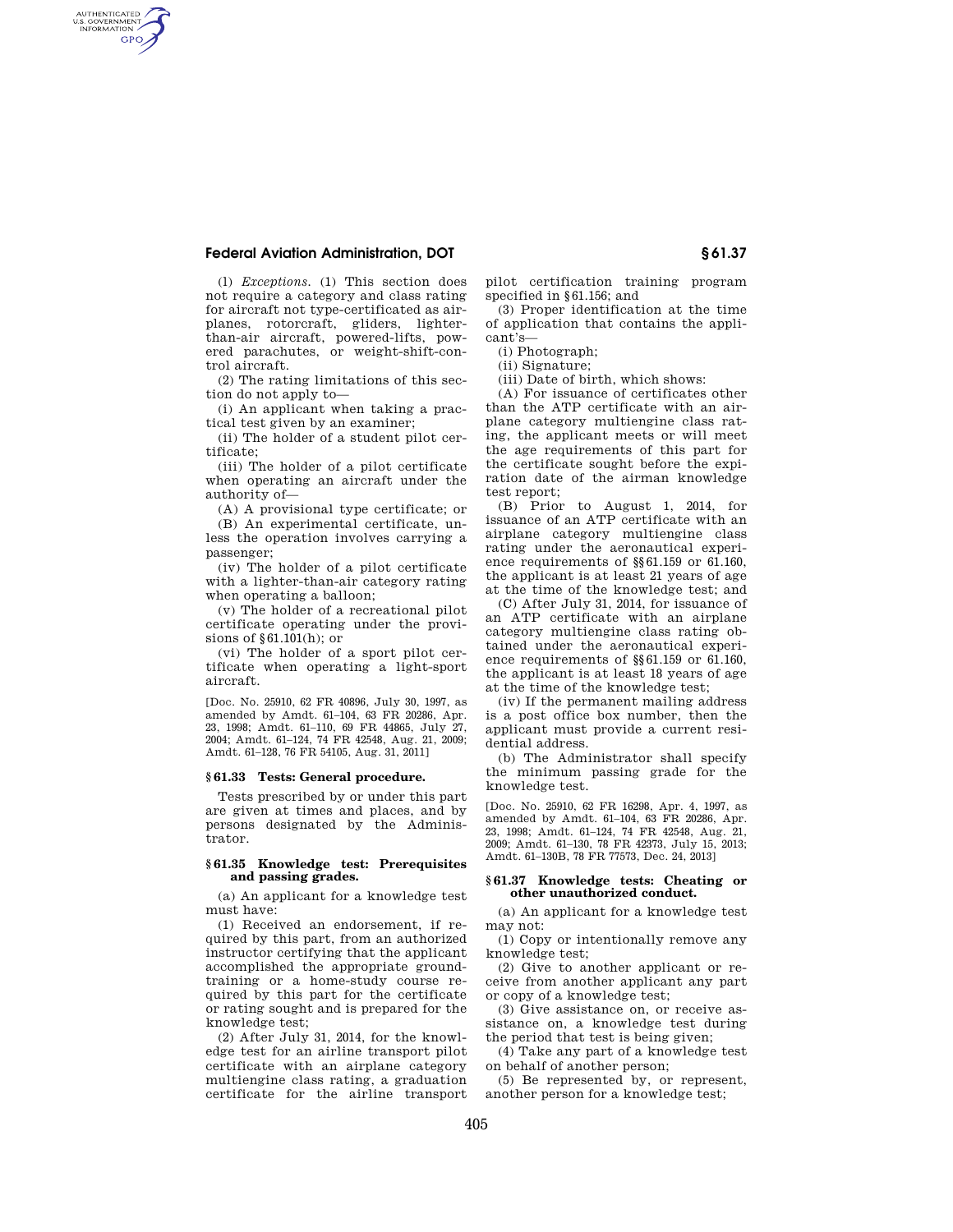# **Federal Aviation Administration, DOT § 61.37**

AUTHENTICATED<br>U.S. GOVERNMENT<br>INFORMATION **GPO** 

> (l) *Exceptions.* (1) This section does not require a category and class rating for aircraft not type-certificated as airplanes, rotorcraft, gliders, lighterthan-air aircraft, powered-lifts, powered parachutes, or weight-shift-control aircraft.

(2) The rating limitations of this section do not apply to—

(i) An applicant when taking a practical test given by an examiner;

(ii) The holder of a student pilot certificate;

(iii) The holder of a pilot certificate when operating an aircraft under the authority of—

(A) A provisional type certificate; or

(B) An experimental certificate, unless the operation involves carrying a passenger;

(iv) The holder of a pilot certificate with a lighter-than-air category rating when operating a balloon;

(v) The holder of a recreational pilot certificate operating under the provisions of §61.101(h); or

(vi) The holder of a sport pilot certificate when operating a light-sport aircraft.

[Doc. No. 25910, 62 FR 40896, July 30, 1997, as amended by Amdt. 61–104, 63 FR 20286, Apr. 23, 1998; Amdt. 61–110, 69 FR 44865, July 27, 2004; Amdt. 61–124, 74 FR 42548, Aug. 21, 2009; Amdt. 61–128, 76 FR 54105, Aug. 31, 2011]

# **§ 61.33 Tests: General procedure.**

Tests prescribed by or under this part are given at times and places, and by persons designated by the Administrator.

## **§ 61.35 Knowledge test: Prerequisites and passing grades.**

(a) An applicant for a knowledge test must have:

(1) Received an endorsement, if required by this part, from an authorized instructor certifying that the applicant accomplished the appropriate groundtraining or a home-study course required by this part for the certificate or rating sought and is prepared for the knowledge test;

(2) After July 31, 2014, for the knowledge test for an airline transport pilot certificate with an airplane category multiengine class rating, a graduation certificate for the airline transport pilot certification training program specified in §61.156; and

(3) Proper identification at the time of application that contains the applicant's—

(i) Photograph;

(ii) Signature;

(iii) Date of birth, which shows:

(A) For issuance of certificates other than the ATP certificate with an airplane category multiengine class rating, the applicant meets or will meet the age requirements of this part for the certificate sought before the expiration date of the airman knowledge test report;

(B) Prior to August 1, 2014, for issuance of an ATP certificate with an airplane category multiengine class rating under the aeronautical experience requirements of §§61.159 or 61.160, the applicant is at least 21 years of age at the time of the knowledge test; and

(C) After July 31, 2014, for issuance of an ATP certificate with an airplane category multiengine class rating obtained under the aeronautical experience requirements of §§61.159 or 61.160, the applicant is at least 18 years of age at the time of the knowledge test;

(iv) If the permanent mailing address is a post office box number, then the applicant must provide a current residential address.

(b) The Administrator shall specify the minimum passing grade for the knowledge test.

[Doc. No. 25910, 62 FR 16298, Apr. 4, 1997, as amended by Amdt. 61–104, 63 FR 20286, Apr. 23, 1998; Amdt. 61–124, 74 FR 42548, Aug. 21, 2009; Amdt. 61–130, 78 FR 42373, July 15, 2013; Amdt. 61–130B, 78 FR 77573, Dec. 24, 2013]

### **§ 61.37 Knowledge tests: Cheating or other unauthorized conduct.**

(a) An applicant for a knowledge test may not:

(1) Copy or intentionally remove any knowledge test;

(2) Give to another applicant or receive from another applicant any part or copy of a knowledge test;

(3) Give assistance on, or receive assistance on, a knowledge test during the period that test is being given;

(4) Take any part of a knowledge test on behalf of another person;

(5) Be represented by, or represent, another person for a knowledge test;